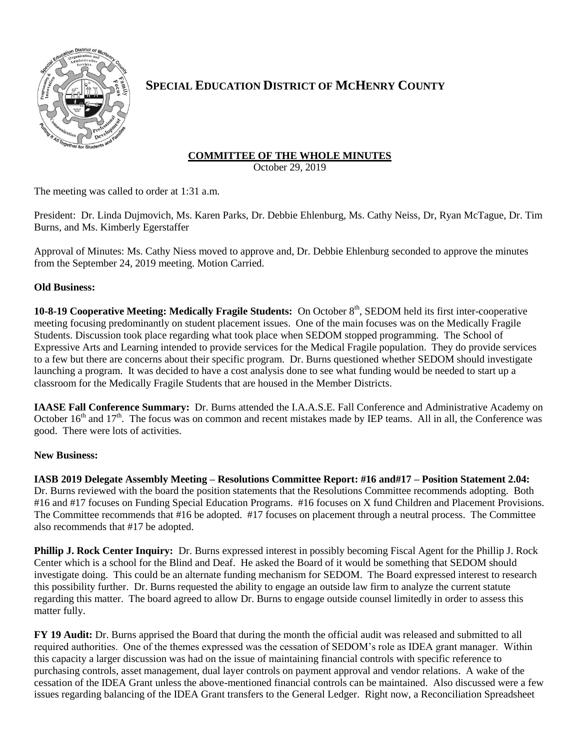

# **SPECIAL EDUCATION DISTRICT OF MCHENRY COUNTY**

## **COMMITTEE OF THE WHOLE MINUTES**

October 29, 2019

The meeting was called to order at 1:31 a.m.

President: Dr. Linda Dujmovich, Ms. Karen Parks, Dr. Debbie Ehlenburg, Ms. Cathy Neiss, Dr, Ryan McTague, Dr. Tim Burns, and Ms. Kimberly Egerstaffer

Approval of Minutes: Ms. Cathy Niess moved to approve and, Dr. Debbie Ehlenburg seconded to approve the minutes from the September 24, 2019 meeting. Motion Carried.

### **Old Business:**

**10-8-19 Cooperative Meeting: Medically Fragile Students:** On October 8<sup>th</sup>, SEDOM held its first inter-cooperative meeting focusing predominantly on student placement issues. One of the main focuses was on the Medically Fragile Students. Discussion took place regarding what took place when SEDOM stopped programming. The School of Expressive Arts and Learning intended to provide services for the Medical Fragile population. They do provide services to a few but there are concerns about their specific program. Dr. Burns questioned whether SEDOM should investigate launching a program. It was decided to have a cost analysis done to see what funding would be needed to start up a classroom for the Medically Fragile Students that are housed in the Member Districts.

**IAASE Fall Conference Summary:** Dr. Burns attended the I.A.A.S.E. Fall Conference and Administrative Academy on October  $16<sup>th</sup>$  and  $17<sup>th</sup>$ . The focus was on common and recent mistakes made by IEP teams. All in all, the Conference was good. There were lots of activities.

### **New Business:**

**IASB 2019 Delegate Assembly Meeting – Resolutions Committee Report: #16 and#17 – Position Statement 2.04:** Dr. Burns reviewed with the board the position statements that the Resolutions Committee recommends adopting. Both #16 and #17 focuses on Funding Special Education Programs. #16 focuses on X fund Children and Placement Provisions. The Committee recommends that #16 be adopted. #17 focuses on placement through a neutral process. The Committee also recommends that #17 be adopted.

**Phillip J. Rock Center Inquiry:** Dr. Burns expressed interest in possibly becoming Fiscal Agent for the Phillip J. Rock Center which is a school for the Blind and Deaf. He asked the Board of it would be something that SEDOM should investigate doing. This could be an alternate funding mechanism for SEDOM. The Board expressed interest to research this possibility further. Dr. Burns requested the ability to engage an outside law firm to analyze the current statute regarding this matter. The board agreed to allow Dr. Burns to engage outside counsel limitedly in order to assess this matter fully.

**FY 19 Audit:** Dr. Burns apprised the Board that during the month the official audit was released and submitted to all required authorities. One of the themes expressed was the cessation of SEDOM's role as IDEA grant manager. Within this capacity a larger discussion was had on the issue of maintaining financial controls with specific reference to purchasing controls, asset management, dual layer controls on payment approval and vendor relations. A wake of the cessation of the IDEA Grant unless the above-mentioned financial controls can be maintained. Also discussed were a few issues regarding balancing of the IDEA Grant transfers to the General Ledger. Right now, a Reconciliation Spreadsheet